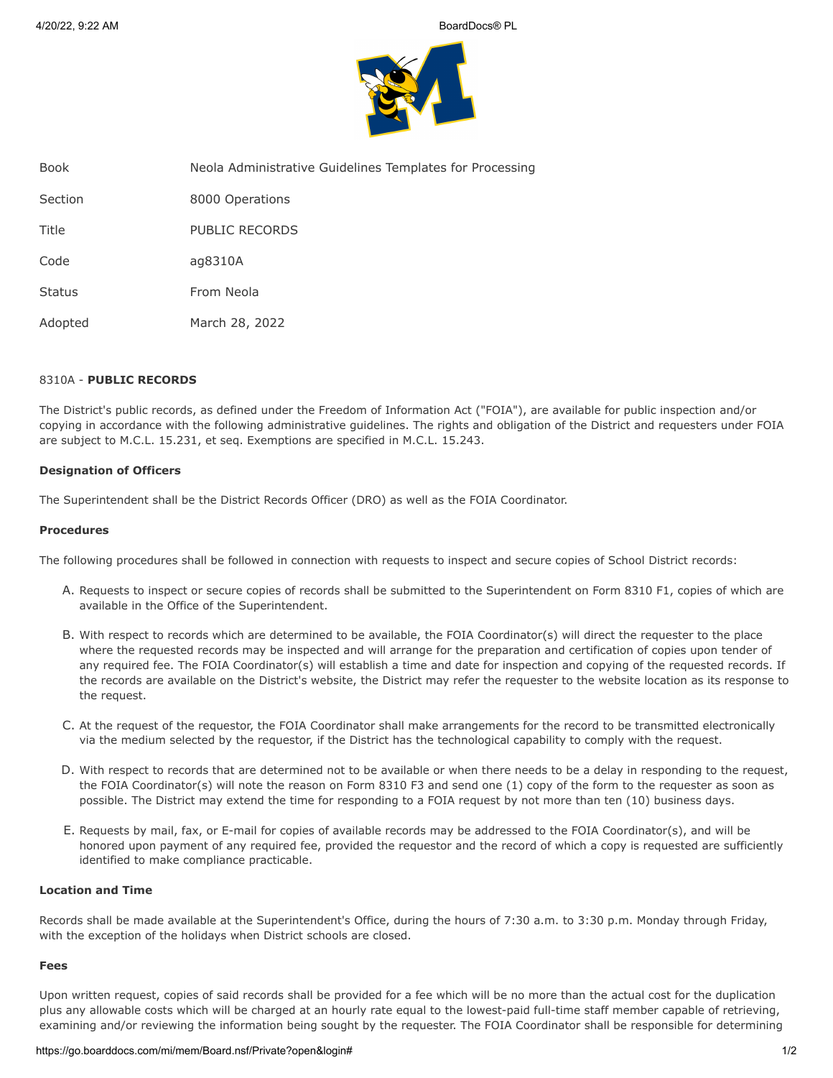

| Book          | Neola Administrative Guidelines Templates for Processing |
|---------------|----------------------------------------------------------|
| Section       | 8000 Operations                                          |
| Title         | PUBLIC RECORDS                                           |
| Code          | ag8310A                                                  |
| <b>Status</b> | From Neola                                               |
| Adopted       | March 28, 2022                                           |

# 8310A - **PUBLIC RECORDS**

The District's public records, as defined under the Freedom of Information Act ("FOIA"), are available for public inspection and/or copying in accordance with the following administrative guidelines. The rights and obligation of the District and requesters under FOIA are subject to M.C.L. 15.231, et seq. Exemptions are specified in M.C.L. 15.243.

# **Designation of Officers**

The Superintendent shall be the District Records Officer (DRO) as well as the FOIA Coordinator.

#### **Procedures**

The following procedures shall be followed in connection with requests to inspect and secure copies of School District records:

- A. Requests to inspect or secure copies of records shall be submitted to the Superintendent on Form 8310 F1, copies of which are available in the Office of the Superintendent.
- B. With respect to records which are determined to be available, the FOIA Coordinator(s) will direct the requester to the place where the requested records may be inspected and will arrange for the preparation and certification of copies upon tender of any required fee. The FOIA Coordinator(s) will establish a time and date for inspection and copying of the requested records. If the records are available on the District's website, the District may refer the requester to the website location as its response to the request.
- C. At the request of the requestor, the FOIA Coordinator shall make arrangements for the record to be transmitted electronically via the medium selected by the requestor, if the District has the technological capability to comply with the request.
- D. With respect to records that are determined not to be available or when there needs to be a delay in responding to the request, the FOIA Coordinator(s) will note the reason on Form 8310 F3 and send one (1) copy of the form to the requester as soon as possible. The District may extend the time for responding to a FOIA request by not more than ten (10) business days.
- E. Requests by mail, fax, or E-mail for copies of available records may be addressed to the FOIA Coordinator(s), and will be honored upon payment of any required fee, provided the requestor and the record of which a copy is requested are sufficiently identified to make compliance practicable.

## **Location and Time**

Records shall be made available at the Superintendent's Office, during the hours of 7:30 a.m. to 3:30 p.m. Monday through Friday, with the exception of the holidays when District schools are closed.

#### **Fees**

Upon written request, copies of said records shall be provided for a fee which will be no more than the actual cost for the duplication plus any allowable costs which will be charged at an hourly rate equal to the lowest-paid full-time staff member capable of retrieving, examining and/or reviewing the information being sought by the requester. The FOIA Coordinator shall be responsible for determining